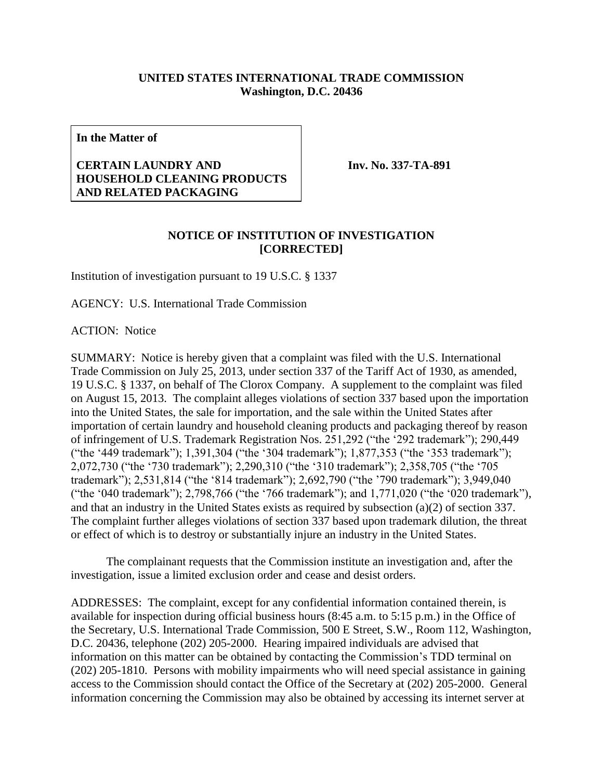## **UNITED STATES INTERNATIONAL TRADE COMMISSION Washington, D.C. 20436**

**In the Matter of**

## **CERTAIN LAUNDRY AND HOUSEHOLD CLEANING PRODUCTS AND RELATED PACKAGING**

**Inv. No. 337-TA-891**

## **NOTICE OF INSTITUTION OF INVESTIGATION [CORRECTED]**

Institution of investigation pursuant to 19 U.S.C. § 1337

AGENCY: U.S. International Trade Commission

ACTION: Notice

SUMMARY: Notice is hereby given that a complaint was filed with the U.S. International Trade Commission on July 25, 2013, under section 337 of the Tariff Act of 1930, as amended, 19 U.S.C. § 1337, on behalf of The Clorox Company. A supplement to the complaint was filed on August 15, 2013. The complaint alleges violations of section 337 based upon the importation into the United States, the sale for importation, and the sale within the United States after importation of certain laundry and household cleaning products and packaging thereof by reason of infringement of U.S. Trademark Registration Nos. 251,292 ("the '292 trademark"); 290,449 ("the '449 trademark"); 1,391,304 ("the '304 trademark"); 1,877,353 ("the '353 trademark"); 2,072,730 ("the '730 trademark"); 2,290,310 ("the '310 trademark"); 2,358,705 ("the '705 trademark"); 2,531,814 ("the '814 trademark"); 2,692,790 ("the '790 trademark"); 3,949,040 ("the '040 trademark"); 2,798,766 ("the '766 trademark"); and 1,771,020 ("the '020 trademark"), and that an industry in the United States exists as required by subsection (a)(2) of section 337. The complaint further alleges violations of section 337 based upon trademark dilution, the threat or effect of which is to destroy or substantially injure an industry in the United States.

The complainant requests that the Commission institute an investigation and, after the investigation, issue a limited exclusion order and cease and desist orders.

ADDRESSES: The complaint, except for any confidential information contained therein, is available for inspection during official business hours (8:45 a.m. to 5:15 p.m.) in the Office of the Secretary, U.S. International Trade Commission, 500 E Street, S.W., Room 112, Washington, D.C. 20436, telephone (202) 205-2000. Hearing impaired individuals are advised that information on this matter can be obtained by contacting the Commission's TDD terminal on (202) 205-1810. Persons with mobility impairments who will need special assistance in gaining access to the Commission should contact the Office of the Secretary at (202) 205-2000. General information concerning the Commission may also be obtained by accessing its internet server at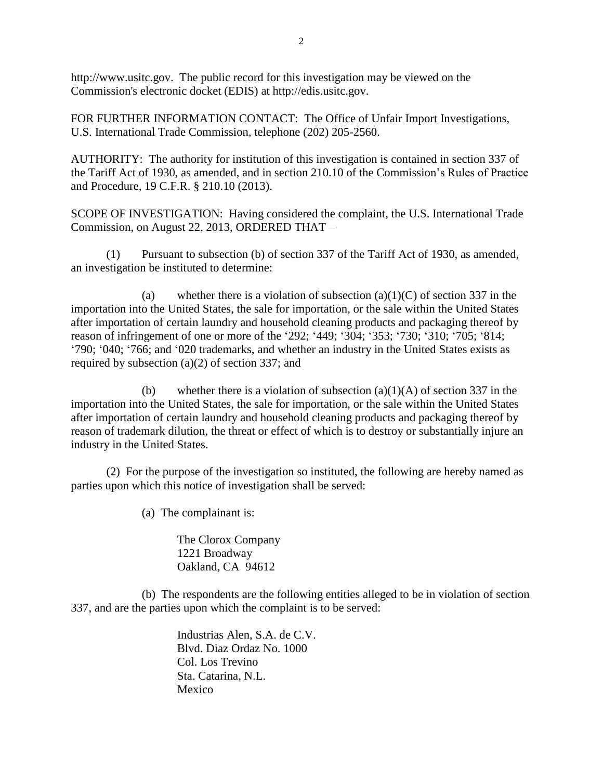http://www.usitc.gov. The public record for this investigation may be viewed on the Commission's electronic docket (EDIS) at http://edis.usitc.gov.

FOR FURTHER INFORMATION CONTACT: The Office of Unfair Import Investigations, U.S. International Trade Commission, telephone (202) 205-2560.

AUTHORITY: The authority for institution of this investigation is contained in section 337 of the Tariff Act of 1930, as amended, and in section 210.10 of the Commission's Rules of Practice and Procedure, 19 C.F.R. § 210.10 (2013).

SCOPE OF INVESTIGATION: Having considered the complaint, the U.S. International Trade Commission, on August 22, 2013, ORDERED THAT –

(1) Pursuant to subsection (b) of section 337 of the Tariff Act of 1930, as amended, an investigation be instituted to determine:

(a) whether there is a violation of subsection  $(a)(1)(C)$  of section 337 in the importation into the United States, the sale for importation, or the sale within the United States after importation of certain laundry and household cleaning products and packaging thereof by reason of infringement of one or more of the '292; '449; '304; '353; '730; '310; '705; '814; '790; '040; '766; and '020 trademarks, and whether an industry in the United States exists as required by subsection (a)(2) of section 337; and

(b) whether there is a violation of subsection  $(a)(1)(A)$  of section 337 in the importation into the United States, the sale for importation, or the sale within the United States after importation of certain laundry and household cleaning products and packaging thereof by reason of trademark dilution, the threat or effect of which is to destroy or substantially injure an industry in the United States.

(2) For the purpose of the investigation so instituted, the following are hereby named as parties upon which this notice of investigation shall be served:

(a) The complainant is:

The Clorox Company 1221 Broadway Oakland, CA 94612

(b) The respondents are the following entities alleged to be in violation of section 337, and are the parties upon which the complaint is to be served:

> Industrias Alen, S.A. de C.V. Blvd. Diaz Ordaz No. 1000 Col. Los Trevino Sta. Catarina, N.L. Mexico